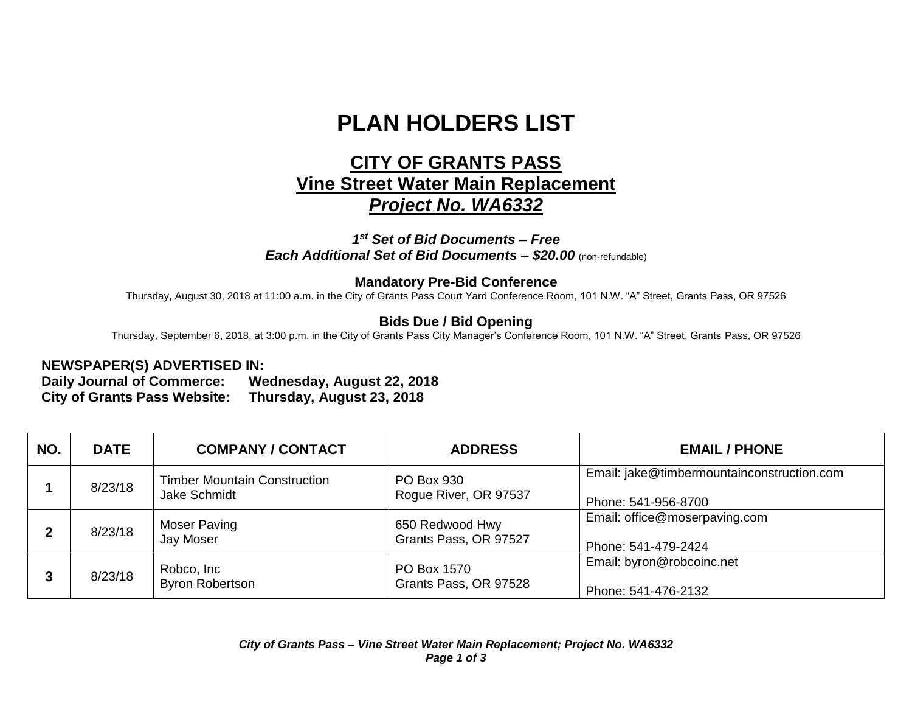# **PLAN HOLDERS LIST**

## **CITY OF GRANTS PASS Vine Street Water Main Replacement** *Project No. WA6332*

#### *1 st Set of Bid Documents – Free Each Additional Set of Bid Documents – \$20.00* (non-refundable)

#### **Mandatory Pre-Bid Conference**

Thursday, August 30, 2018 at 11:00 a.m. in the City of Grants Pass Court Yard Conference Room, 101 N.W. "A" Street, Grants Pass, OR 97526

### **Bids Due / Bid Opening**

Thursday, September 6, 2018, at 3:00 p.m. in the City of Grants Pass City Manager's Conference Room, 101 N.W. "A" Street, Grants Pass, OR 97526

#### **NEWSPAPER(S) ADVERTISED IN:**

**Daily Journal of Commerce: Wednesday, August 22, 2018 City of Grants Pass Website: Thursday, August 23, 2018**

| NO. | <b>DATE</b> | <b>COMPANY / CONTACT</b>                            | <b>ADDRESS</b>                           | <b>EMAIL / PHONE</b>                                              |
|-----|-------------|-----------------------------------------------------|------------------------------------------|-------------------------------------------------------------------|
|     | 8/23/18     | <b>Timber Mountain Construction</b><br>Jake Schmidt | PO Box 930<br>Rogue River, OR 97537      | Email: jake@timbermountainconstruction.com<br>Phone: 541-956-8700 |
|     | 8/23/18     | <b>Moser Paving</b><br>Jay Moser                    | 650 Redwood Hwy<br>Grants Pass, OR 97527 | Email: office@moserpaving.com<br>Phone: 541-479-2424              |
|     | 8/23/18     | Robco, Inc<br><b>Byron Robertson</b>                | PO Box 1570<br>Grants Pass, OR 97528     | Email: byron@robcoinc.net<br>Phone: 541-476-2132                  |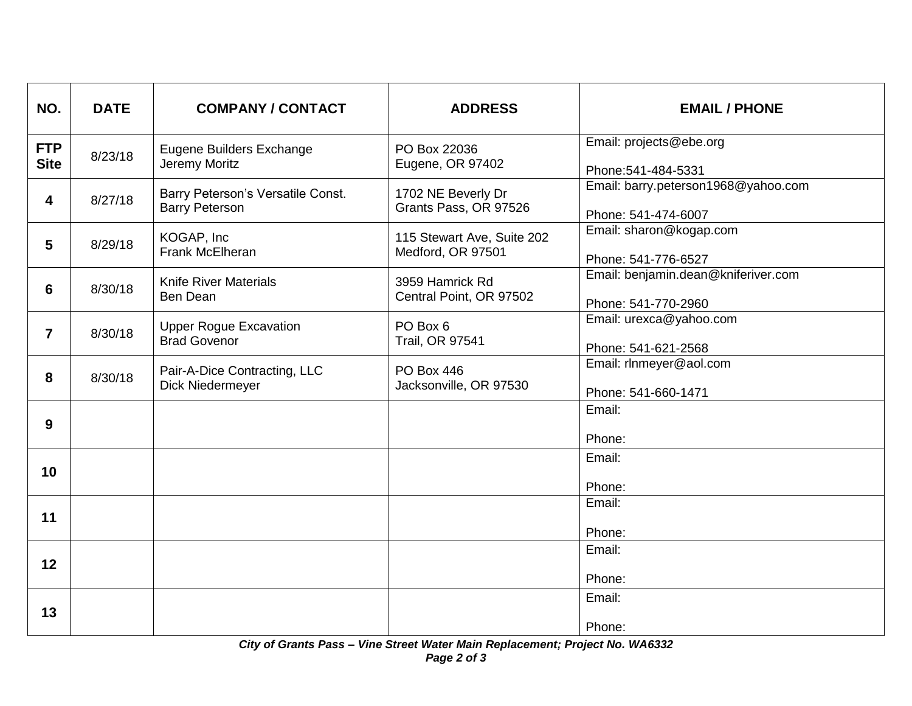| NO.                       | <b>DATE</b> | <b>COMPANY / CONTACT</b>                                   | <b>ADDRESS</b>                                  | <b>EMAIL / PHONE</b>                                       |
|---------------------------|-------------|------------------------------------------------------------|-------------------------------------------------|------------------------------------------------------------|
| <b>FTP</b><br><b>Site</b> | 8/23/18     | Eugene Builders Exchange<br>Jeremy Moritz                  | PO Box 22036<br>Eugene, OR 97402                | Email: projects@ebe.org<br>Phone: 541-484-5331             |
| 4                         | 8/27/18     | Barry Peterson's Versatile Const.<br><b>Barry Peterson</b> | 1702 NE Beverly Dr<br>Grants Pass, OR 97526     | Email: barry.peterson1968@yahoo.com<br>Phone: 541-474-6007 |
| 5                         | 8/29/18     | KOGAP, Inc<br>Frank McElheran                              | 115 Stewart Ave, Suite 202<br>Medford, OR 97501 | Email: sharon@kogap.com<br>Phone: 541-776-6527             |
| 6                         | 8/30/18     | <b>Knife River Materials</b><br>Ben Dean                   | 3959 Hamrick Rd<br>Central Point, OR 97502      | Email: benjamin.dean@kniferiver.com<br>Phone: 541-770-2960 |
| $\overline{7}$            | 8/30/18     | <b>Upper Rogue Excavation</b><br><b>Brad Govenor</b>       | PO Box 6<br>Trail, OR 97541                     | Email: urexca@yahoo.com<br>Phone: 541-621-2568             |
| 8                         | 8/30/18     | Pair-A-Dice Contracting, LLC<br>Dick Niedermeyer           | <b>PO Box 446</b><br>Jacksonville, OR 97530     | Email: rlnmeyer@aol.com<br>Phone: 541-660-1471             |
| 9                         |             |                                                            |                                                 | Email:<br>Phone:                                           |
| 10                        |             |                                                            |                                                 | Email:<br>Phone:                                           |
| 11                        |             |                                                            |                                                 | Email:<br>Phone:                                           |
| 12                        |             |                                                            |                                                 | Email:<br>Phone:                                           |
| 13                        |             |                                                            |                                                 | Email:<br>Phone:                                           |

*City of Grants Pass – Vine Street Water Main Replacement; Project No. WA6332 Page 2 of 3*